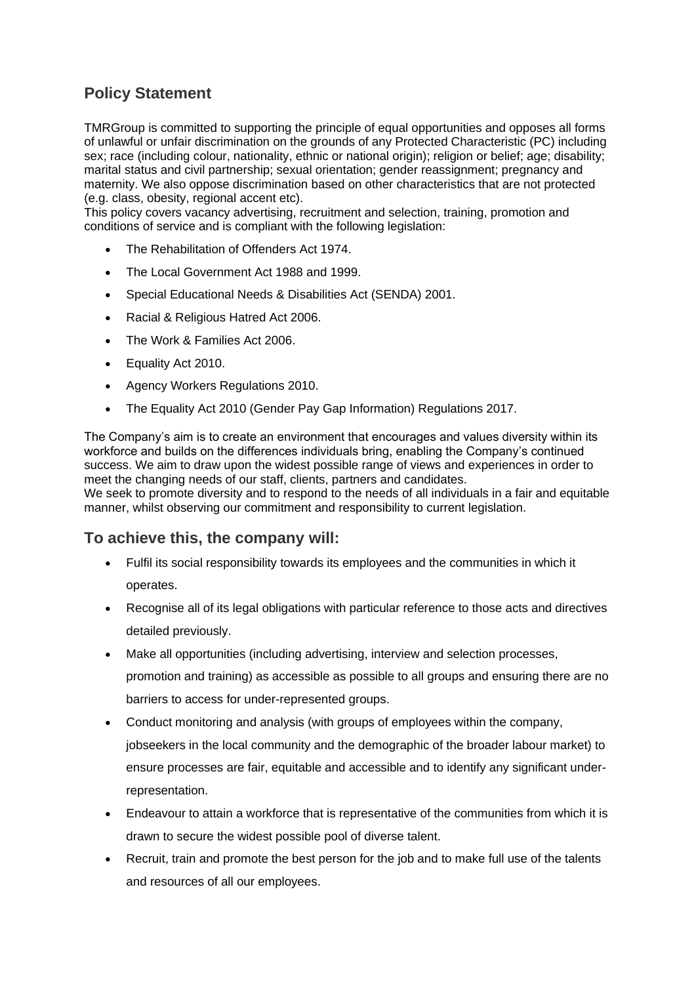## **Policy Statement**

TMRGroup is committed to supporting the principle of equal opportunities and opposes all forms of unlawful or unfair discrimination on the grounds of any Protected Characteristic (PC) including sex; race (including colour, nationality, ethnic or national origin); religion or belief; age; disability; marital status and civil partnership; sexual orientation; gender reassignment; pregnancy and maternity. We also oppose discrimination based on other characteristics that are not protected (e.g. class, obesity, regional accent etc).

This policy covers vacancy advertising, recruitment and selection, training, promotion and conditions of service and is compliant with the following legislation:

- The Rehabilitation of Offenders Act 1974.
- The Local Government Act 1988 and 1999.
- Special Educational Needs & Disabilities Act (SENDA) 2001.
- Racial & Religious Hatred Act 2006.
- The Work & Families Act 2006.
- Equality Act 2010.
- Agency Workers Regulations 2010.
- The Equality Act 2010 (Gender Pay Gap Information) Regulations 2017.

The Company's aim is to create an environment that encourages and values diversity within its workforce and builds on the differences individuals bring, enabling the Company's continued success. We aim to draw upon the widest possible range of views and experiences in order to meet the changing needs of our staff, clients, partners and candidates. We seek to promote diversity and to respond to the needs of all individuals in a fair and equitable manner, whilst observing our commitment and responsibility to current legislation.

## **To achieve this, the company will:**

- Fulfil its social responsibility towards its employees and the communities in which it operates.
- Recognise all of its legal obligations with particular reference to those acts and directives detailed previously.
- Make all opportunities (including advertising, interview and selection processes, promotion and training) as accessible as possible to all groups and ensuring there are no barriers to access for under-represented groups.
- Conduct monitoring and analysis (with groups of employees within the company, jobseekers in the local community and the demographic of the broader labour market) to ensure processes are fair, equitable and accessible and to identify any significant underrepresentation.
- Endeavour to attain a workforce that is representative of the communities from which it is drawn to secure the widest possible pool of diverse talent.
- Recruit, train and promote the best person for the job and to make full use of the talents and resources of all our employees.